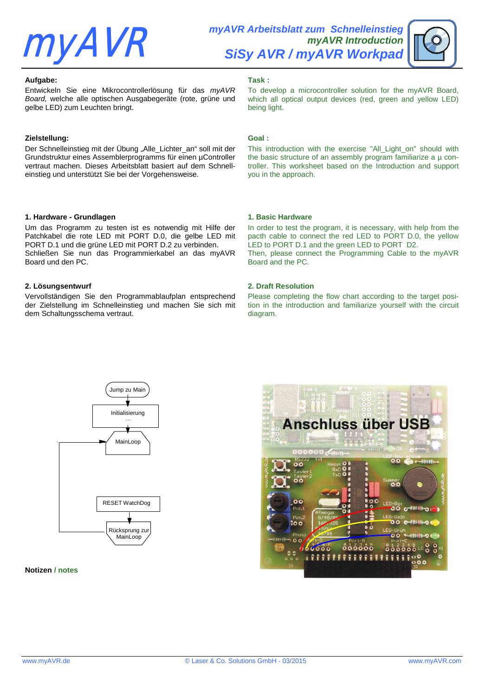# **myAVR**

**myAVR Arbeitsblatt zum Schnelleinstieg myAVR Introduction SiSy AVR / myAVR Workpad**

#### **Aufgabe:**

Entwickeln Sie eine Mikrocontrollerlösung für das myAVR Board, welche alle optischen Ausgabegeräte (rote, grüne und gelbe LED) zum Leuchten bringt.

#### **Zielstellung:**

Der Schnelleinstieg mit der Übung "Alle\_Lichter\_an" soll mit der Grundstruktur eines Assemblerprogramms für einen µController vertraut machen. Dieses Arbeitsblatt basiert auf dem Schnelleinstieg und unterstützt Sie bei der Vorgehensweise.

#### **1. Hardware - Grundlagen**

Um das Programm zu testen ist es notwendig mit Hilfe der Patchkabel die rote LED mit PORT D.0, die gelbe LED mit PORT D.1 und die grüne LED mit PORT D.2 zu verbinden. Schließen Sie nun das Programmierkabel an das myAVR Board und den PC.

#### **2. Lösungsentwurf**

Vervollständigen Sie den Programmablaufplan entsprechend der Zielstellung im Schnelleinstieg und machen Sie sich mit dem Schaltungsschema vertraut.

# **Task :**

To develop a microcontroller solution for the myAVR Board, which all optical output devices (red, green and yellow LED) being light.

#### **Goal :**

This introduction with the exercise "All Light on" should with the basic structure of an assembly program familiarize a  $\mu$  controller. This worksheet based on the Introduction and support you in the approach.

#### **1. Basic Hardware**

In order to test the program, it is necessary, with help from the pacth cable to connect the red LED to PORT D.0, the yellow LED to PORT D.1 and the green LED to PORT D2. Then, please connect the Programming Cable to the myAVR Board and the PC.

#### **2. Draft Resolution**

Please completing the flow chart according to the target position in the introduction and familiarize yourself with the circuit diagram.



**Notizen / notes**